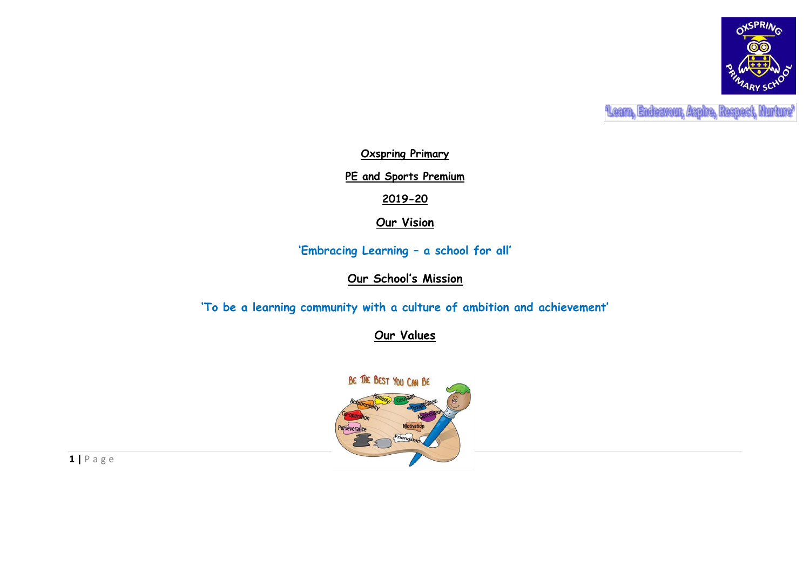

**Leam, Endeavour, Aspire, Respect, Nurture'** 

**Oxspring Primary**

**PE and Sports Premium**

**2019-20**

**Our Vision**

**'Embracing Learning – a school for all'**

**Our School's Mission**

**'To be a learning community with a culture of ambition and achievement'**

**Our Values**

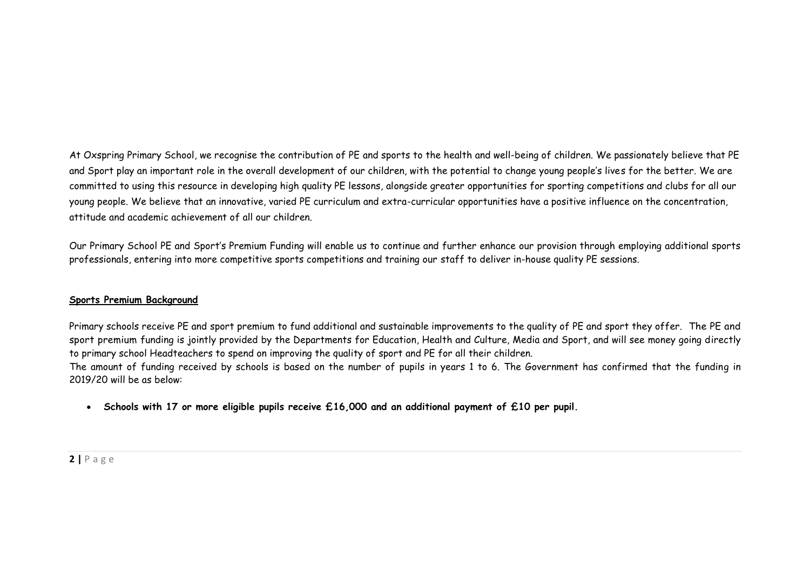At Oxspring Primary School, we recognise the contribution of PE and sports to the health and well-being of children. We passionately believe that PE and Sport play an important role in the overall development of our children, with the potential to change young people's lives for the better. We are committed to using this resource in developing high quality PE lessons, alongside greater opportunities for sporting competitions and clubs for all our young people. We believe that an innovative, varied PE curriculum and extra-curricular opportunities have a positive influence on the concentration, attitude and academic achievement of all our children.

Our Primary School PE and Sport's Premium Funding will enable us to continue and further enhance our provision through employing additional sports professionals, entering into more competitive sports competitions and training our staff to deliver in-house quality PE sessions.

### **Sports Premium Background**

Primary schools receive PE and sport premium to fund additional and sustainable improvements to the quality of PE and sport they offer. The PE and sport premium funding is jointly provided by the Departments for Education, Health and Culture, Media and Sport, and will see money going directly to primary school Headteachers to spend on improving the quality of sport and PE for all their children.

The amount of funding received by schools is based on the number of pupils in years 1 to 6. The Government has confirmed that the funding in 2019/20 will be as below:

**Schools with 17 or more eligible pupils receive £16,000 and an additional payment of £10 per pupil.**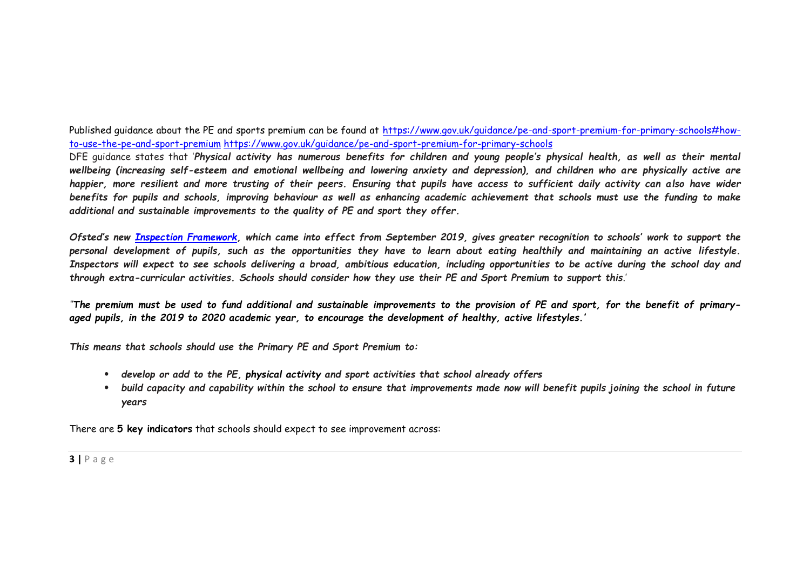Published guidance about the PE and sports premium can be found at [https://www.gov.uk/guidance/pe-and-sport-premium-for-primary-schools#how](https://www.gov.uk/guidance/pe-and-sport-premium-for-primary-schools#how-to-use-the-pe-and-sport-premium)[to-use-the-pe-and-sport-premium](https://www.gov.uk/guidance/pe-and-sport-premium-for-primary-schools#how-to-use-the-pe-and-sport-premium) <https://www.gov.uk/guidance/pe-and-sport-premium-for-primary-schools>

DFE guidance states that '*Physical activity has numerous benefits for children and young people's physical health, as well as their mental wellbeing (increasing self-esteem and emotional wellbeing and lowering anxiety and depression), and children who are physically active are happier, more resilient and more trusting of their peers. Ensuring that pupils have access to sufficient daily activity can also have wider benefits for pupils and schools, improving behaviour as well as enhancing academic achievement that schools must use the funding to make additional and sustainable improvements to the quality of PE and sport they offer.*

*Ofsted's new [Inspection Framework](https://assets.publishing.service.gov.uk/government/uploads/system/uploads/attachment_data/file/801429/Education_inspection_framework.pdf), which came into effect from September 2019, gives greater recognition to schools' work to support the personal development of pupils, such as the opportunities they have to learn about eating healthily and maintaining an active lifestyle. Inspectors will expect to see schools delivering a broad, ambitious education, including opportunities to be active during the school day and through extra-curricular activities. Schools should consider how they use their PE and Sport Premium to support this*.'

*''The premium must be used to fund additional and sustainable improvements to the provision of PE and sport, for the benefit of primaryaged pupils, in the 2019 to 2020 academic year, to encourage the development of healthy, active lifestyles.'*

*This means that schools should use the Primary PE and Sport Premium to:*

- *develop or add to the PE, physical activity and sport activities that school already offers*
- build capacity and capability within the school to ensure that improvements made now will benefit pupils joining the school in future *years*

There are **5 key indicators** that schools should expect to see improvement across: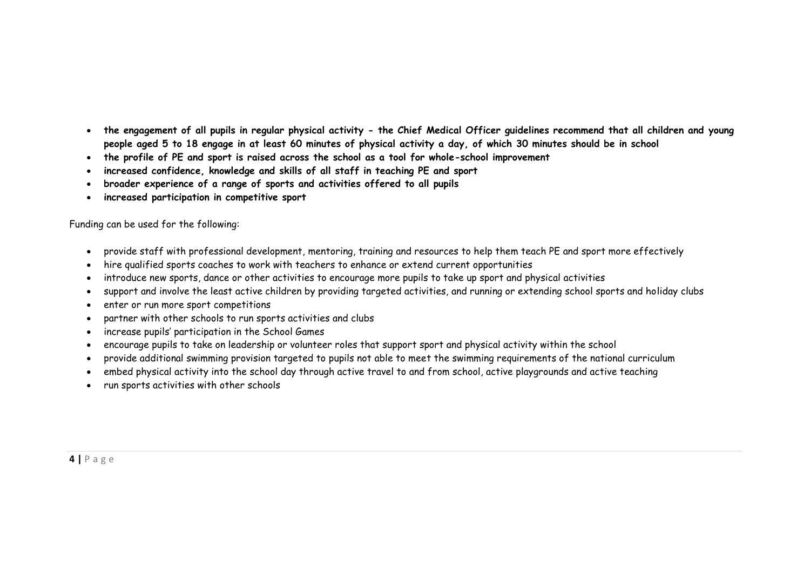- **the engagement of all pupils in regular physical activity - the Chief Medical Officer guidelines recommend that all children and young people aged 5 to 18 engage in at least 60 minutes of physical activity a day, of which 30 minutes should be in school**
- **the profile of PE and sport is raised across the school as a tool for whole-school improvement**
- **increased confidence, knowledge and skills of all staff in teaching PE and sport**
- **broader experience of a range of sports and activities offered to all pupils**
- **increased participation in competitive sport**

Funding can be used for the following:

- provide staff with professional development, mentoring, training and resources to help them teach PE and sport more effectively
- hire qualified sports coaches to work with teachers to enhance or extend current opportunities
- introduce new sports, dance or other activities to encourage more pupils to take up sport and physical activities
- support and involve the least active children by providing targeted activities, and running or extending school sports and holiday clubs
- enter or run more sport competitions
- partner with other schools to run sports activities and clubs
- increase pupils' participation in the School Games
- encourage pupils to take on leadership or volunteer roles that support sport and physical activity within the school
- provide additional swimming provision targeted to pupils not able to meet the swimming requirements of the national curriculum
- embed physical activity into the school day through active travel to and from school, active playgrounds and active teaching
- run sports activities with other schools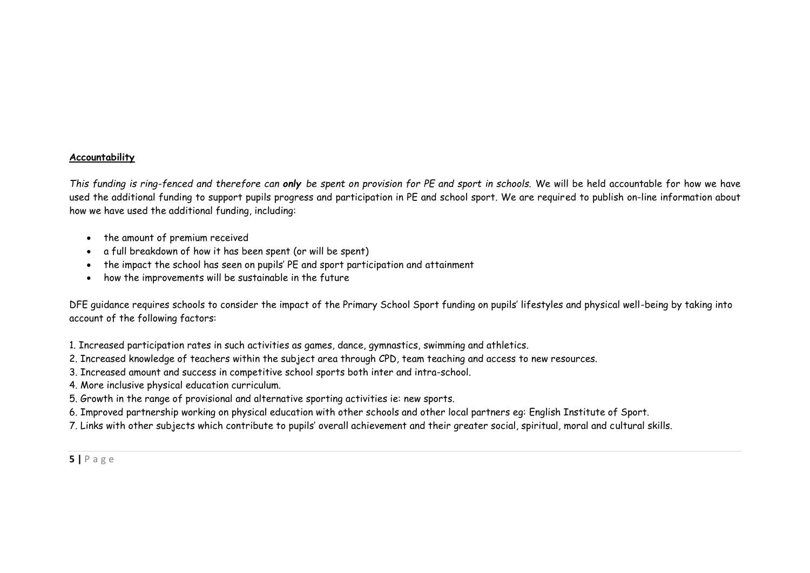#### **Accountability**

*This funding is ring-fenced and therefore can only be spent on provision for PE and sport in schools.* We will be held accountable for how we have used the additional funding to support pupils progress and participation in PE and school sport. We are required to publish on-line information about how we have used the additional funding, including:

- the amount of premium received
- a full breakdown of how it has been spent (or will be spent)
- the impact the school has seen on pupils' PE and sport participation and attainment
- how the improvements will be sustainable in the future

DFE guidance requires schools to consider the impact of the Primary School Sport funding on pupils' lifestyles and physical well-being by taking into account of the following factors:

1. Increased participation rates in such activities as games, dance, gymnastics, swimming and athletics.

- 2. Increased knowledge of teachers within the subject area through CPD, team teaching and access to new resources.
- 3. Increased amount and success in competitive school sports both inter and intra-school.
- 4. More inclusive physical education curriculum.
- 5. Growth in the range of provisional and alternative sporting activities ie: new sports.
- 6. Improved partnership working on physical education with other schools and other local partners eg: English Institute of Sport.
- 7. Links with other subjects which contribute to pupils' overall achievement and their greater social, spiritual, moral and cultural skills.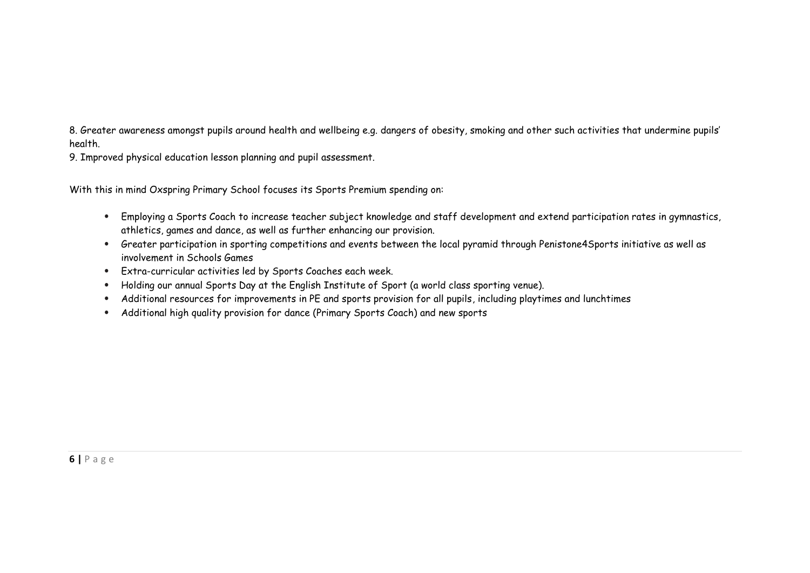8. Greater awareness amongst pupils around health and wellbeing e.g. dangers of obesity, smoking and other such activities that undermine pupils' health.

9. Improved physical education lesson planning and pupil assessment.

With this in mind Oxspring Primary School focuses its Sports Premium spending on:

- Employing a Sports Coach to increase teacher subject knowledge and staff development and extend participation rates in gymnastics, athletics, games and dance, as well as further enhancing our provision.
- Greater participation in sporting competitions and events between the local pyramid through Penistone4Sports initiative as well as involvement in Schools Games
- Extra-curricular activities led by Sports Coaches each week.
- Holding our annual Sports Day at the English Institute of Sport (a world class sporting venue).
- Additional resources for improvements in PE and sports provision for all pupils, including playtimes and lunchtimes
- Additional high quality provision for dance (Primary Sports Coach) and new sports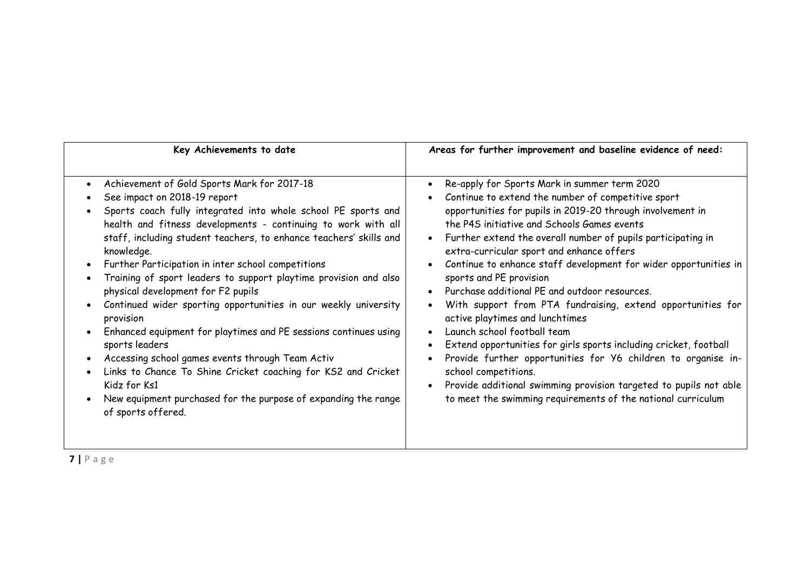| Key Achievements to date                                                                                                                                                                                                                                                                                                                                                                                                                                                                                                                                                                                                                                                                                                                                                                                                                                             | Areas for further improvement and baseline evidence of need:                                                                                                                                                                                                                                                                                                                                                                                                                                                                                                                                                                                                                                                                                                                                                                                                                                                     |
|----------------------------------------------------------------------------------------------------------------------------------------------------------------------------------------------------------------------------------------------------------------------------------------------------------------------------------------------------------------------------------------------------------------------------------------------------------------------------------------------------------------------------------------------------------------------------------------------------------------------------------------------------------------------------------------------------------------------------------------------------------------------------------------------------------------------------------------------------------------------|------------------------------------------------------------------------------------------------------------------------------------------------------------------------------------------------------------------------------------------------------------------------------------------------------------------------------------------------------------------------------------------------------------------------------------------------------------------------------------------------------------------------------------------------------------------------------------------------------------------------------------------------------------------------------------------------------------------------------------------------------------------------------------------------------------------------------------------------------------------------------------------------------------------|
| Achievement of Gold Sports Mark for 2017-18<br>See impact on 2018-19 report<br>Sports coach fully integrated into whole school PE sports and<br>health and fitness developments - continuing to work with all<br>staff, including student teachers, to enhance teachers' skills and<br>knowledge.<br>Further Participation in inter school competitions<br>Training of sport leaders to support playtime provision and also<br>physical development for F2 pupils<br>Continued wider sporting opportunities in our weekly university<br>provision<br>Enhanced equipment for playtimes and PE sessions continues using<br>sports leaders<br>Accessing school games events through Team Activ<br>Links to Chance To Shine Cricket coaching for KS2 and Cricket<br>Kidz for Ks1<br>New equipment purchased for the purpose of expanding the range<br>of sports offered. | Re-apply for Sports Mark in summer term 2020<br>Continue to extend the number of competitive sport<br>opportunities for pupils in 2019-20 through involvement in<br>the P4S initiative and Schools Games events<br>Further extend the overall number of pupils participating in<br>extra-curricular sport and enhance offers<br>Continue to enhance staff development for wider opportunities in<br>sports and PE provision<br>Purchase additional PE and outdoor resources.<br>With support from PTA fundraising, extend opportunities for<br>active playtimes and lunchtimes<br>Launch school football team<br>Extend opportunities for girls sports including cricket, football<br>Provide further opportunities for Y6 children to organise in-<br>school competitions.<br>Provide additional swimming provision targeted to pupils not able<br>to meet the swimming requirements of the national curriculum |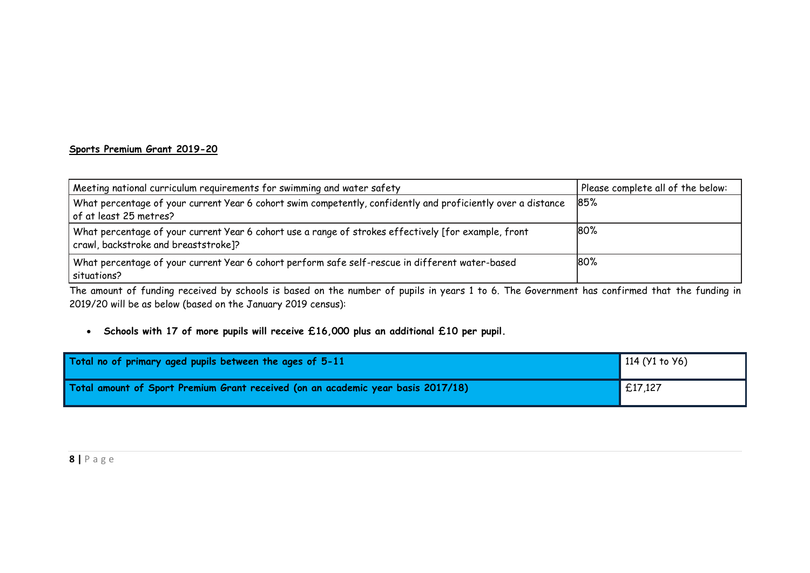## **Sports Premium Grant 2019-20**

| Meeting national curriculum requirements for swimming and water safety                                                                       | Please complete all of the below: |
|----------------------------------------------------------------------------------------------------------------------------------------------|-----------------------------------|
| What percentage of your current Year 6 cohort swim competently, confidently and proficiently over a distance<br>of at least 25 metres?       | 85%                               |
| What percentage of your current Year 6 cohort use a range of strokes effectively [for example, front<br>crawl, backstroke and breaststroke]? | 80%                               |
| What percentage of your current Year 6 cohort perform safe self-rescue in different water-based<br>situations?                               | 80%                               |

The amount of funding received by schools is based on the number of pupils in years 1 to 6. The Government has confirmed that the funding in 2019/20 will be as below (based on the January 2019 census):

**Schools with 17 of more pupils will receive £16,000 plus an additional £10 per pupil.**

| Total no of primary aged pupils between the ages of 5-11                         | 114 (Y1 to Y6) |
|----------------------------------------------------------------------------------|----------------|
| Total amount of Sport Premium Grant received (on an academic year basis 2017/18) | E17,127        |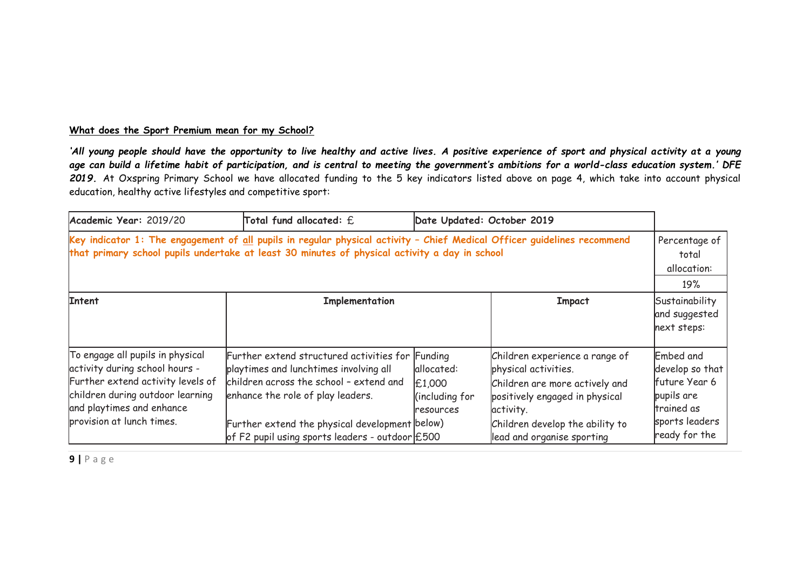## **What does the Sport Premium mean for my School?**

'All young people should have the opportunity to live healthy and active lives. A positive experience of sport and physical activity at a young *age can build a lifetime habit of participation, and is central to meeting the government's ambitions for a world-class education system.' DFE 2019.* At Oxspring Primary School we have allocated funding to the 5 key indicators listed above on page 4, which take into account physical education, healthy active lifestyles and competitive sport:

| Academic Year: 2019/20                                                                                                                                                                                                                        | Total fund allocated: $\operatorname{\mathsf{E}}$                                                                                                                                                                            | Date Updated: October 2019                          |                                                                                                                                                                            |                                                                                             |
|-----------------------------------------------------------------------------------------------------------------------------------------------------------------------------------------------------------------------------------------------|------------------------------------------------------------------------------------------------------------------------------------------------------------------------------------------------------------------------------|-----------------------------------------------------|----------------------------------------------------------------------------------------------------------------------------------------------------------------------------|---------------------------------------------------------------------------------------------|
| Key indicator 1: The engagement of $\underline{\text{all}}$ pupils in regular physical activity - Chief Medical Officer guidelines recommend<br>that primary school pupils undertake at least 30 minutes of physical activity a day in school |                                                                                                                                                                                                                              |                                                     |                                                                                                                                                                            |                                                                                             |
| <b>Intent</b>                                                                                                                                                                                                                                 | Implementation                                                                                                                                                                                                               |                                                     | Impact                                                                                                                                                                     | Sustainability<br>and suggested<br>next steps:                                              |
| To engage all pupils in physical<br>activity during school hours -<br>Further extend activity levels of<br>children during outdoor learning<br>and playtimes and enhance<br>provision at lunch times.                                         | Further extend structured activities for Funding<br>playtimes and lunchtimes involving all<br>children across the school - extend and<br>enhance the role of play leaders.<br>Further extend the physical development below) | allocated:<br>£1,000<br>(including for<br>resources | Children experience a range of<br>physical activities.<br>Children are more actively and<br>positively engaged in physical<br>activity.<br>Children develop the ability to | Embed and<br>develop so that<br>future Year 6<br>pupils are<br>trained as<br>sports leaders |
|                                                                                                                                                                                                                                               | of F2 pupil using sports leaders - outdoor $£500$                                                                                                                                                                            |                                                     | lead and organise sporting                                                                                                                                                 | ready for the                                                                               |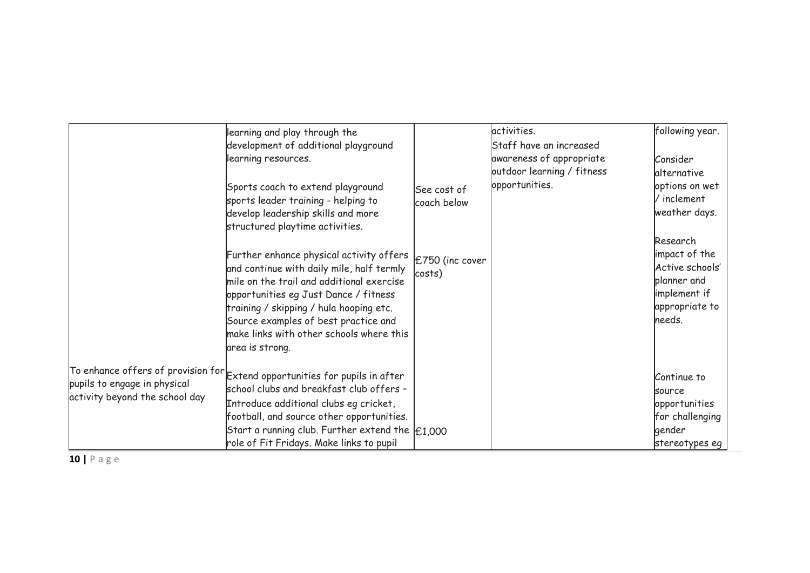|                                                                | learning and play through the<br>development of additional playground<br>learning resources.<br>Sports coach to extend playground<br>sports leader training - helping to                                                                                                                                                      | See cost of<br>coach below | activities.<br>Staff have an increased<br>awareness of appropriate<br>outdoor learning / fitness<br>opportunities. | following year.<br>Consider<br>lalternative<br>options on wet<br>/ inclement                |
|----------------------------------------------------------------|-------------------------------------------------------------------------------------------------------------------------------------------------------------------------------------------------------------------------------------------------------------------------------------------------------------------------------|----------------------------|--------------------------------------------------------------------------------------------------------------------|---------------------------------------------------------------------------------------------|
|                                                                | develop leadership skills and more<br>structured playtime activities.                                                                                                                                                                                                                                                         |                            |                                                                                                                    | weather days.<br>Research                                                                   |
|                                                                | Further enhance physical activity offers<br>and continue with daily mile, half termly<br>mile on the trail and additional exercise<br>opportunities eg Just Dance / fitness<br>training / skipping / hula hooping etc.<br>Source examples of best practice and<br>make links with other schools where this<br>area is strong. | £750 (inc cover<br>costs)  |                                                                                                                    | impact of the<br>Active schools'<br>planner and<br>implement if<br>appropriate to<br>needs. |
| pupils to engage in physical<br>activity beyond the school day | To enhance offers of provision for $\epsilon$ extend opportunities for pupils in after<br>school clubs and breakfast club offers -<br>Introduce additional clubs eg cricket,<br>football, and source other opportunities.                                                                                                     |                            |                                                                                                                    | Continue to<br>source<br>opportunities<br>for challenging                                   |
|                                                                | Start a running club. Further extend the $\vert$ £1,000<br>role of Fit Fridays. Make links to pupil                                                                                                                                                                                                                           |                            |                                                                                                                    | gender<br>stereotypes eg                                                                    |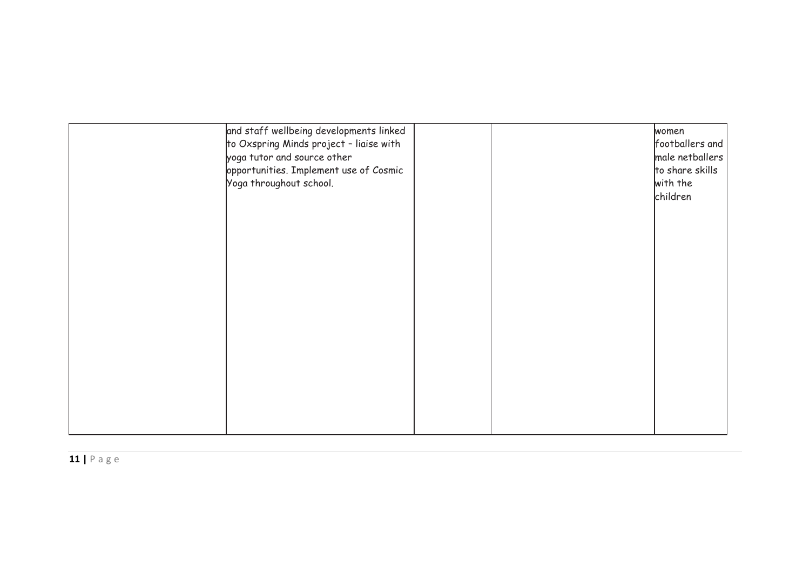| and staff wellbeing developments linked<br>to Oxspring Minds project - liaise with<br>yoga tutor and source other<br>opportunities. Implement use of Cosmic<br>Yoga throughout school. |  | women<br>footballers and<br>male netballers<br>to share skills<br>with the<br>children |
|----------------------------------------------------------------------------------------------------------------------------------------------------------------------------------------|--|----------------------------------------------------------------------------------------|
|                                                                                                                                                                                        |  |                                                                                        |
|                                                                                                                                                                                        |  |                                                                                        |
|                                                                                                                                                                                        |  |                                                                                        |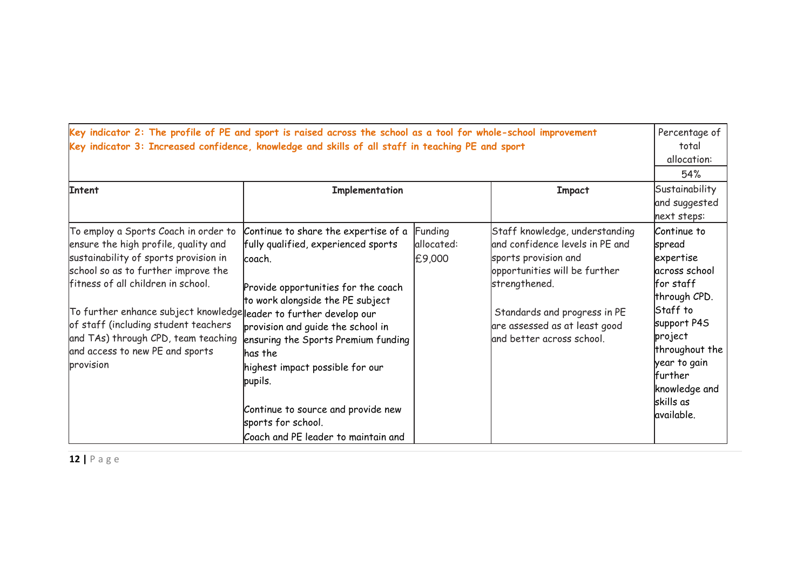| Key indicator 2: The profile of PE and sport is raised across the school as a tool for whole-school improvement<br>Key indicator 3: Increased confidence, knowledge and skills of all staff in teaching PE and sport<br>Intent<br>Implementation<br><b>Impact</b>                                                                                                                                       |                                                                                                                                                                                                                                                                                                                                                                                                           |                                 |                                                                                                                                                                                                                                           |                                                                                                                                                                                                                                  |
|---------------------------------------------------------------------------------------------------------------------------------------------------------------------------------------------------------------------------------------------------------------------------------------------------------------------------------------------------------------------------------------------------------|-----------------------------------------------------------------------------------------------------------------------------------------------------------------------------------------------------------------------------------------------------------------------------------------------------------------------------------------------------------------------------------------------------------|---------------------------------|-------------------------------------------------------------------------------------------------------------------------------------------------------------------------------------------------------------------------------------------|----------------------------------------------------------------------------------------------------------------------------------------------------------------------------------------------------------------------------------|
| To employ a Sports Coach in order to<br>ensure the high profile, quality and<br>sustainability of sports provision in<br>school so as to further improve the<br>fitness of all children in school.<br>To further enhance subject knowledge leader to further develop our<br>of staff (including student teachers<br>and TAs) through CPD, team teaching<br>and access to new PE and sports<br>provision | Continue to share the expertise of a<br>fully qualified, experienced sports<br>coach.<br>Provide opportunities for the coach<br>to work alongside the PE subject<br>provision and quide the school in<br>ensuring the Sports Premium funding<br>lhas the<br>highest impact possible for our<br>pupils.<br>Continue to source and provide new<br>sports for school.<br>Coach and PE leader to maintain and | Funding<br>allocated:<br>£9,000 | Staff knowledge, understanding<br>and confidence levels in PE and<br>sports provision and<br>opportunities will be further<br>strengthened.<br>Standards and progress in PE<br>are assessed as at least good<br>and better across school. | next steps:<br>Continue to<br>spread<br>expertise<br>across school<br>lfor staff<br>through CPD.<br>Staff to<br>support P4S<br>project<br>throughout the<br>year to gain<br>further<br>knowledge and<br>skills as<br>lavailable. |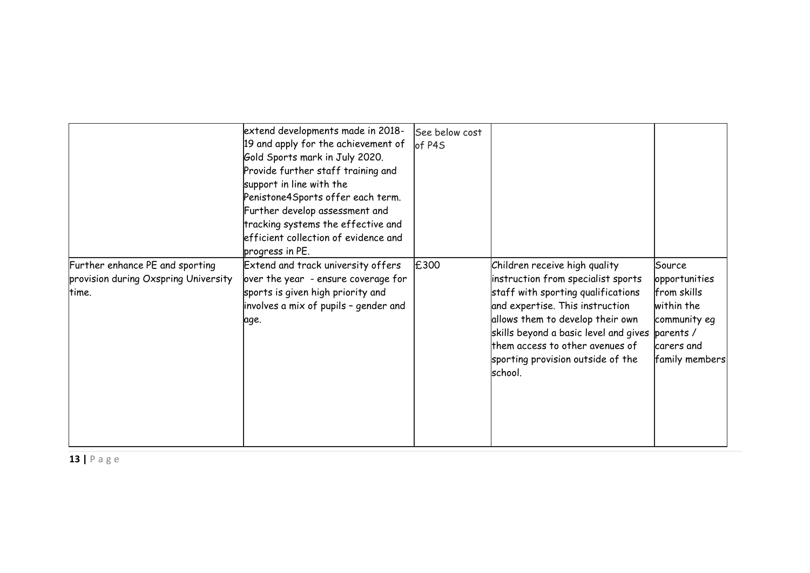|                                                                                  | extend developments made in 2018-<br>19 and apply for the achievement of<br>Gold Sports mark in July 2020.<br>Provide further staff training and<br>support in line with the<br>Penistone4Sports offer each term.<br>Further develop assessment and<br>tracking systems the effective and<br>efficient collection of evidence and<br>progress in PE. | See below cost<br>of P4S |                                                                                                                                                                                                                                                                                                                            |                                                                                                      |
|----------------------------------------------------------------------------------|------------------------------------------------------------------------------------------------------------------------------------------------------------------------------------------------------------------------------------------------------------------------------------------------------------------------------------------------------|--------------------------|----------------------------------------------------------------------------------------------------------------------------------------------------------------------------------------------------------------------------------------------------------------------------------------------------------------------------|------------------------------------------------------------------------------------------------------|
| Further enhance PE and sporting<br>provision during Oxspring University<br>time. | Extend and track university offers<br>over the year - ensure coverage for<br>sports is given high priority and<br>involves a mix of pupils - gender and<br>age.                                                                                                                                                                                      | E300                     | Children receive high quality<br>instruction from specialist sports<br>staff with sporting qualifications<br>and expertise. This instruction<br>allows them to develop their own<br>skills beyond a basic level and gives $ $ parents /<br>them access to other avenues of<br>sporting provision outside of the<br>school. | Source<br>opportunities<br>from skills<br>within the<br>community eq<br>carers and<br>family members |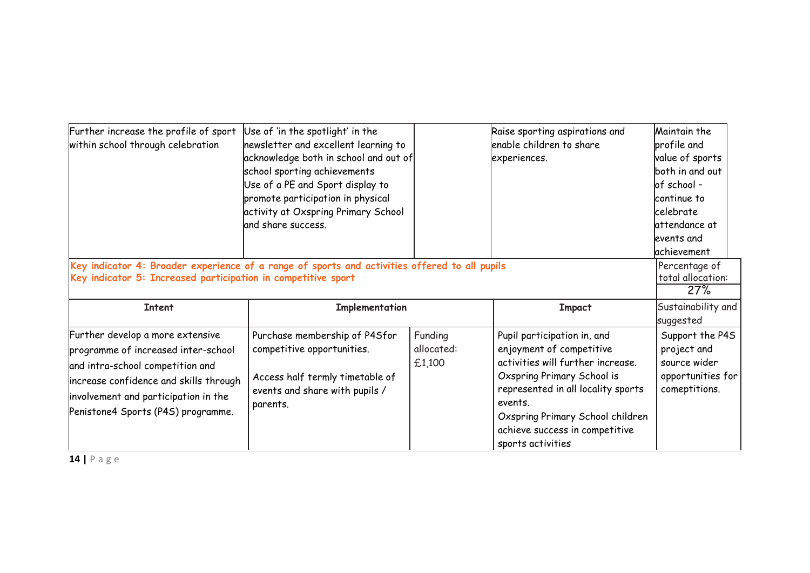| Further increase the profile of sport<br>within school through celebration                                                                                                                                                          | Use of 'in the spotlight' in the<br>newsletter and excellent learning to<br>acknowledge both in school and out of<br>school sporting achievements<br>Use of a PE and Sport display to<br>promote participation in physical<br>activity at Oxspring Primary School<br>and share success. |                                 | Raise sporting aspirations and<br>enable children to share<br>experiences.                                                                                                                                                                                             | Maintain the<br>profile and<br>value of sports<br>both in and out<br>lof school -<br>continue to<br>lcelebrate<br>lattendance at<br>levents and<br>lachievement |
|-------------------------------------------------------------------------------------------------------------------------------------------------------------------------------------------------------------------------------------|-----------------------------------------------------------------------------------------------------------------------------------------------------------------------------------------------------------------------------------------------------------------------------------------|---------------------------------|------------------------------------------------------------------------------------------------------------------------------------------------------------------------------------------------------------------------------------------------------------------------|-----------------------------------------------------------------------------------------------------------------------------------------------------------------|
| Key indicator 4: Broader experience of a range of sports and activities offered to all pupils<br>Key indicator 5: Increased participation in competitive sport                                                                      |                                                                                                                                                                                                                                                                                         |                                 |                                                                                                                                                                                                                                                                        | Percentage of<br>total allocation:<br>27%                                                                                                                       |
| <b>Intent</b>                                                                                                                                                                                                                       | Implementation                                                                                                                                                                                                                                                                          |                                 | <b>Impact</b>                                                                                                                                                                                                                                                          | Sustainability and<br>suggested                                                                                                                                 |
| Further develop a more extensive<br>programme of increased inter-school<br>and intra-school competition and<br>increase confidence and skills through<br>involvement and participation in the<br>Penistone4 Sports (P4S) programme. | Purchase membership of P4Sfor<br>competitive opportunities.<br>Access half termly timetable of<br>events and share with pupils /<br>parents.                                                                                                                                            | Funding<br>allocated:<br>£1,100 | Pupil participation in, and<br>enjoyment of competitive<br>activities will further increase.<br>Oxspring Primary School is<br>represented in all locality sports<br>events.<br>Oxspring Primary School children<br>achieve success in competitive<br>sports activities | Support the P4S<br>project and<br>source wider<br>opportunities for<br>comeptitions.                                                                            |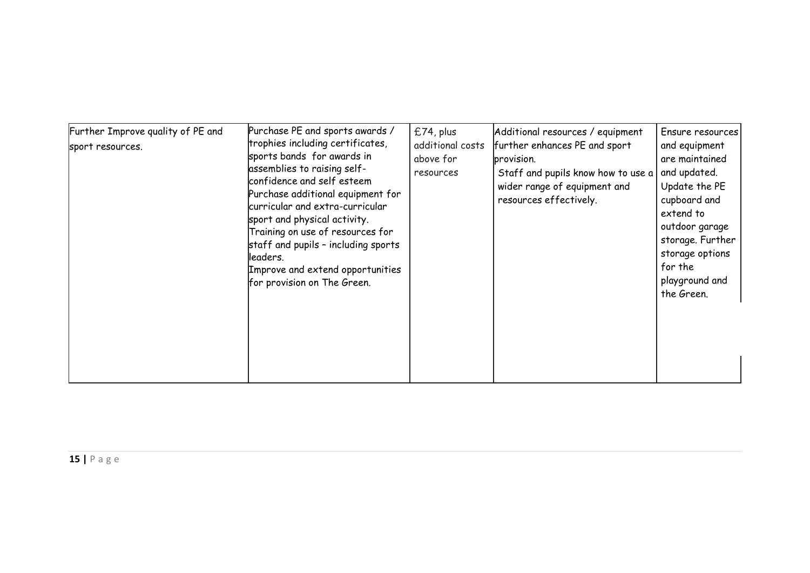| Further Improve quality of PE and<br>sport resources. | Purchase PE and sports awards /<br>trophies including certificates,<br>sports bands for awards in<br>assemblies to raising self-<br>confidence and self esteem<br>Purchase additional equipment for<br>curricular and extra-curricular<br>sport and physical activity.<br>Training on use of resources for<br>staff and pupils - including sports<br>lleaders.<br>Improve and extend opportunities<br>for provision on The Green. | £74, plus<br>additional costs<br>above for<br>resources | Additional resources / equipment<br>further enhances PE and sport<br>provision.<br>Staff and pupils know how to use a<br>wider range of equipment and<br>resources effectively. | Ensure resources<br>and equipment<br>are maintained<br>and updated.<br>Update the PE<br>cupboard and<br>extend to<br>outdoor garage<br>storage. Further<br>storage options<br>for the<br>playground and<br>the Green. |
|-------------------------------------------------------|-----------------------------------------------------------------------------------------------------------------------------------------------------------------------------------------------------------------------------------------------------------------------------------------------------------------------------------------------------------------------------------------------------------------------------------|---------------------------------------------------------|---------------------------------------------------------------------------------------------------------------------------------------------------------------------------------|-----------------------------------------------------------------------------------------------------------------------------------------------------------------------------------------------------------------------|
|-------------------------------------------------------|-----------------------------------------------------------------------------------------------------------------------------------------------------------------------------------------------------------------------------------------------------------------------------------------------------------------------------------------------------------------------------------------------------------------------------------|---------------------------------------------------------|---------------------------------------------------------------------------------------------------------------------------------------------------------------------------------|-----------------------------------------------------------------------------------------------------------------------------------------------------------------------------------------------------------------------|